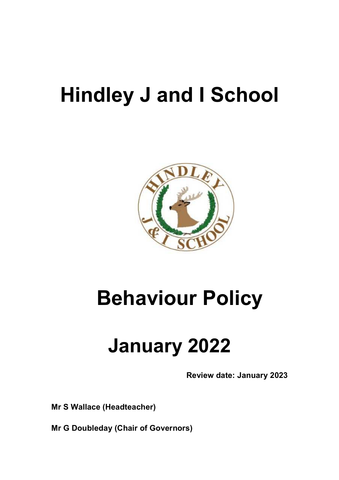# **Hindley J and I School**



# **Behaviour Policy**

# **January 2022**

**Review date: January 2023** 

**Mr S Wallace (Headteacher)** 

**Mr G Doubleday (Chair of Governors)**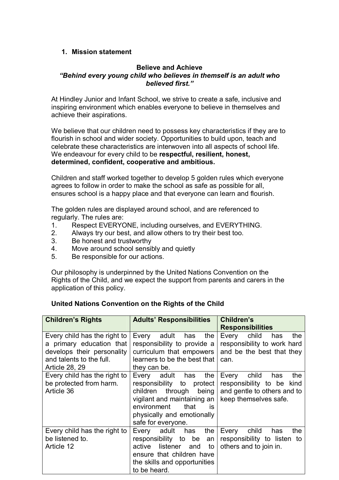# **1. Mission statement**

#### **Believe and Achieve**  *"Behind every young child who believes in themself is an adult who believed first."*

At Hindley Junior and Infant School, we strive to create a safe, inclusive and inspiring environment which enables everyone to believe in themselves and achieve their aspirations.

We believe that our children need to possess key characteristics if they are to flourish in school and wider society. Opportunities to build upon, teach and celebrate these characteristics are interwoven into all aspects of school life. We endeavour for every child to be **respectful, resilient, honest, determined, confident, cooperative and ambitious.** 

Children and staff worked together to develop 5 golden rules which everyone agrees to follow in order to make the school as safe as possible for all, ensures school is a happy place and that everyone can learn and flourish.

The golden rules are displayed around school, and are referenced to regularly. The rules are:

- 1. Respect EVERYONE, including ourselves, and EVERYTHING.
- 2. Always try our best, and allow others to try their best too.
- 3. Be honest and trustworthy
- 4. Move around school sensibly and quietly
- 5. Be responsible for our actions.

Our philosophy is underpinned by the United Nations Convention on the Rights of the Child, and we expect the support from parents and carers in the application of this policy.

# **United Nations Convention on the Rights of the Child**

| <b>Children's Rights</b>                                                                                                                    | <b>Adults' Responsibilities</b>                                                                                                                                                                               | Children's<br><b>Responsibilities</b>                                                                             |
|---------------------------------------------------------------------------------------------------------------------------------------------|---------------------------------------------------------------------------------------------------------------------------------------------------------------------------------------------------------------|-------------------------------------------------------------------------------------------------------------------|
| Every child has the right to<br>a primary education that<br>develops their personality<br>and talents to the full.<br><b>Article 28, 29</b> | Every<br>adult<br>the<br>has<br>responsibility to provide a<br>curriculum that empowers<br>learners to be the best that<br>they can be.                                                                       | child<br>Every<br>has<br>the<br>responsibility to work hard<br>and be the best that they<br>can.                  |
| Every child has the right to<br>be protected from harm.<br>Article 36                                                                       | Every adult has<br>the<br>responsibility to<br>protect<br>children<br>through<br>being<br>vigilant and maintaining an<br>environment<br>that<br><b>is</b><br>physically and emotionally<br>safe for everyone. | child<br>the<br>Every<br>has<br>responsibility to be kind<br>and gentle to others and to<br>keep themselves safe. |
| Every child has the right to<br>be listened to.<br>Article 12                                                                               | Every adult<br>the<br>has<br>responsibility to<br>be<br>an<br>active<br>listener<br>to<br>and<br>ensure that children have<br>the skills and opportunities<br>to be heard.                                    | child<br>the<br>Every<br>has<br>responsibility to listen to<br>others and to join in.                             |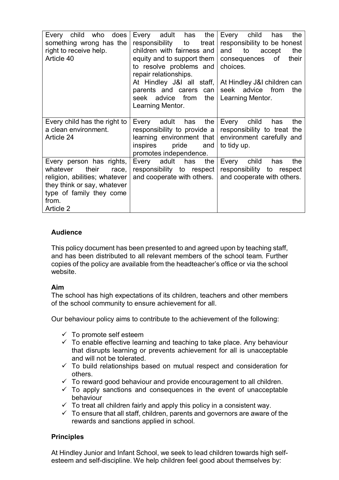| does<br>Every child<br>who<br>something wrong has the<br>right to receive help.<br>Article 40                                                                            | the<br>adult<br>has<br>Every<br>responsibility<br>to<br>treat<br>children with fairness and<br>equity and to support them<br>to resolve problems and<br>repair relationships.<br>At Hindley J&I all staff,  <br>parents and carers can | child<br>the<br>Every<br>has<br>responsibility to be honest<br>to<br>and<br>the<br>accept<br>consequences<br>their<br>of<br>choices.<br>At Hindley J&I children can<br>advice from<br>the<br>seek |
|--------------------------------------------------------------------------------------------------------------------------------------------------------------------------|----------------------------------------------------------------------------------------------------------------------------------------------------------------------------------------------------------------------------------------|---------------------------------------------------------------------------------------------------------------------------------------------------------------------------------------------------|
|                                                                                                                                                                          | seek advice from<br>the<br>Learning Mentor.                                                                                                                                                                                            | Learning Mentor.                                                                                                                                                                                  |
| Every child has the right to<br>a clean environment.<br>Article 24                                                                                                       | the<br>Every<br>adult<br>has<br>responsibility to provide a<br>learning environment that<br>inspires<br>pride<br>and<br>promotes independence.                                                                                         | Every<br>child<br>the<br>has<br>responsibility to treat the<br>environment carefully and<br>to tidy up.                                                                                           |
| Every person has rights,<br>their<br>race,<br>whatever<br>religion, abilities; whatever<br>they think or say, whatever<br>type of family they come<br>from.<br>Article 2 | Every adult has<br>the<br>responsibility to respect<br>and cooperate with others.                                                                                                                                                      | Every<br>child<br>has<br>the<br>responsibility to respect<br>and cooperate with others.                                                                                                           |

# **Audience**

This policy document has been presented to and agreed upon by teaching staff, and has been distributed to all relevant members of the school team. Further copies of the policy are available from the headteacher's office or via the school website.

# **Aim**

The school has high expectations of its children, teachers and other members of the school community to ensure achievement for all.

Our behaviour policy aims to contribute to the achievement of the following:

- $\checkmark$  To promote self esteem
- $\checkmark$  To enable effective learning and teaching to take place. Any behaviour that disrupts learning or prevents achievement for all is unacceptable and will not be tolerated.
- $\checkmark$  To build relationships based on mutual respect and consideration for others.
- $\checkmark$  To reward good behaviour and provide encouragement to all children.
- $\checkmark$  To apply sanctions and consequences in the event of unacceptable behaviour
- $\checkmark$  To treat all children fairly and apply this policy in a consistent way.
- $\checkmark$  To ensure that all staff, children, parents and governors are aware of the rewards and sanctions applied in school.

#### **Principles**

At Hindley Junior and Infant School, we seek to lead children towards high selfesteem and self-discipline. We help children feel good about themselves by: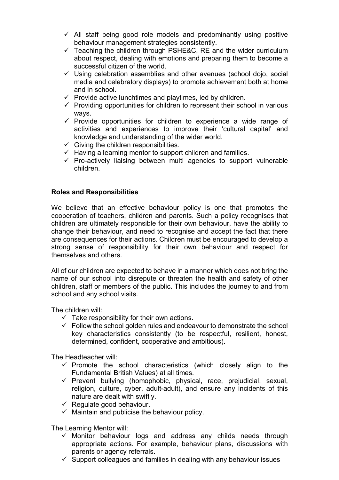- $\checkmark$  All staff being good role models and predominantly using positive behaviour management strategies consistently.
- $\checkmark$  Teaching the children through PSHE&C, RE and the wider curriculum about respect, dealing with emotions and preparing them to become a successful citizen of the world.
- $\checkmark$  Using celebration assemblies and other avenues (school dojo, social media and celebratory displays) to promote achievement both at home and in school.
- $\checkmark$  Provide active lunchtimes and playtimes, led by children.
- $\checkmark$  Providing opportunities for children to represent their school in various ways.
- $\checkmark$  Provide opportunities for children to experience a wide range of activities and experiences to improve their 'cultural capital' and knowledge and understanding of the wider world.
- $\checkmark$  Giving the children responsibilities.
- $\checkmark$  Having a learning mentor to support children and families.
- $\checkmark$  Pro-actively liaising between multi agencies to support vulnerable children.

#### **Roles and Responsibilities**

We believe that an effective behaviour policy is one that promotes the cooperation of teachers, children and parents. Such a policy recognises that children are ultimately responsible for their own behaviour, have the ability to change their behaviour, and need to recognise and accept the fact that there are consequences for their actions. Children must be encouraged to develop a strong sense of responsibility for their own behaviour and respect for themselves and others.

All of our children are expected to behave in a manner which does not bring the name of our school into disrepute or threaten the health and safety of other children, staff or members of the public. This includes the journey to and from school and any school visits.

The children will:

- $\checkmark$  Take responsibility for their own actions.
- $\checkmark$  Follow the school golden rules and endeavour to demonstrate the school key characteristics consistently (to be respectful, resilient, honest, determined, confident, cooperative and ambitious).

The Headteacher will:

- $\checkmark$  Promote the school characteristics (which closely align to the Fundamental British Values) at all times.
- $\checkmark$  Prevent bullying (homophobic, physical, race, prejudicial, sexual, religion, culture, cyber, adult-adult), and ensure any incidents of this nature are dealt with swiftly.
- $\checkmark$  Regulate good behaviour.
- $\checkmark$  Maintain and publicise the behaviour policy.

The Learning Mentor will:

- $\checkmark$  Monitor behaviour logs and address any childs needs through appropriate actions. For example, behaviour plans, discussions with parents or agency referrals.
- $\checkmark$  Support colleagues and families in dealing with any behaviour issues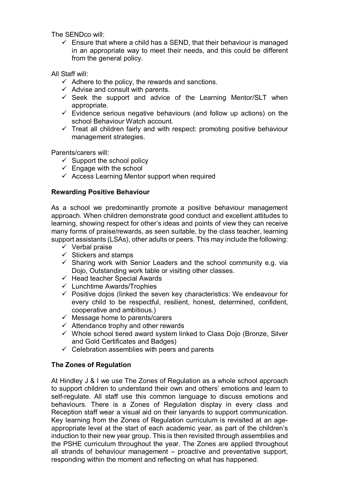The SENDco will:

 $\checkmark$  Ensure that where a child has a SEND, that their behaviour is managed in an appropriate way to meet their needs, and this could be different from the general policy.

All Staff will:

- $\checkmark$  Adhere to the policy, the rewards and sanctions.
- $\checkmark$  Advise and consult with parents.
- $\checkmark$  Seek the support and advice of the Learning Mentor/SLT when appropriate.
- $\checkmark$  Evidence serious negative behaviours (and follow up actions) on the school Behaviour Watch account.
- $\checkmark$  Treat all children fairly and with respect: promoting positive behaviour management strategies.

Parents/carers will:

- $\checkmark$  Support the school policy
- $\checkmark$  Engage with the school
- $\checkmark$  Access Learning Mentor support when required

# **Rewarding Positive Behaviour**

As a school we predominantly promote a positive behaviour management approach. When children demonstrate good conduct and excellent attitudes to learning, showing respect for other's ideas and points of view they can receive many forms of praise/rewards, as seen suitable, by the class teacher, learning support assistants (LSAs), other adults or peers. This may include the following:

- $\checkmark$  Verbal praise
- $\checkmark$  Stickers and stamps
- $\checkmark$  Sharing work with Senior Leaders and the school community e.g. via Dojo, Outstanding work table or visiting other classes.
- $\checkmark$  Head teacher Special Awards
- $\checkmark$  Lunchtime Awards/Trophies
- $\checkmark$  Positive dojos (linked the seven key characteristics: We endeavour for every child to be respectful, resilient, honest, determined, confident, cooperative and ambitious.)
- $\checkmark$  Message home to parents/carers
- $\checkmark$  Attendance trophy and other rewards
- $\checkmark$  Whole school tiered award system linked to Class Dojo (Bronze, Silver and Gold Certificates and Badges)
- $\checkmark$  Celebration assemblies with peers and parents

# **The Zones of Regulation**

At Hindley J & I we use The Zones of Regulation as a whole school approach to support children to understand their own and others' emotions and learn to self-regulate. All staff use this common language to discuss emotions and behaviours. There is a Zones of Regulation display in every class and Reception staff wear a visual aid on their lanyards to support communication. Key learning from the Zones of Regulation curriculum is revisited at an ageappropriate level at the start of each academic year, as part of the children's induction to their new year group. This is then revisited through assemblies and the PSHE curriculum throughout the year. The Zones are applied throughout all strands of behaviour management – proactive and preventative support, responding within the moment and reflecting on what has happened.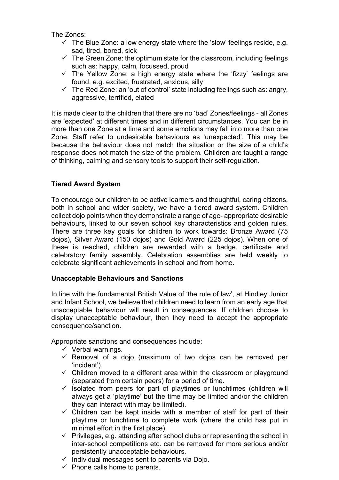The Zones:

- $\checkmark$  The Blue Zone: a low energy state where the 'slow' feelings reside, e.g. sad, tired, bored, sick
- $\checkmark$  The Green Zone: the optimum state for the classroom, including feelings such as: happy, calm, focussed, proud
- $\checkmark$  The Yellow Zone: a high energy state where the 'fizzy' feelings are found, e.g. excited, frustrated, anxious, silly
- $\checkmark$  The Red Zone: an 'out of control' state including feelings such as: angry, aggressive, terrified, elated

It is made clear to the children that there are no 'bad' Zones/feelings - all Zones are 'expected' at different times and in different circumstances. You can be in more than one Zone at a time and some emotions may fall into more than one Zone. Staff refer to undesirable behaviours as 'unexpected'. This may be because the behaviour does not match the situation or the size of a child's response does not match the size of the problem. Children are taught a range of thinking, calming and sensory tools to support their self-regulation.

# **Tiered Award System**

To encourage our children to be active learners and thoughtful, caring citizens, both in school and wider society, we have a tiered award system. Children collect dojo points when they demonstrate a range of age- appropriate desirable behaviours, linked to our seven school key characteristics and golden rules. There are three key goals for children to work towards: Bronze Award (75 dojos), Silver Award (150 dojos) and Gold Award (225 dojos). When one of these is reached, children are rewarded with a badge, certificate and celebratory family assembly. Celebration assemblies are held weekly to celebrate significant achievements in school and from home.

#### **Unacceptable Behaviours and Sanctions**

In line with the fundamental British Value of 'the rule of law', at Hindley Junior and Infant School, we believe that children need to learn from an early age that unacceptable behaviour will result in consequences. If children choose to display unacceptable behaviour, then they need to accept the appropriate consequence/sanction.

Appropriate sanctions and consequences include:

- $\checkmark$  Verbal warnings.
- $\checkmark$  Removal of a dojo (maximum of two dojos can be removed per 'incident').
- $\checkmark$  Children moved to a different area within the classroom or playground (separated from certain peers) for a period of time.
- $\checkmark$  isolated from peers for part of playtimes or lunchtimes (children will always get a 'playtime' but the time may be limited and/or the children they can interact with may be limited).
- $\checkmark$  Children can be kept inside with a member of staff for part of their playtime or lunchtime to complete work (where the child has put in minimal effort in the first place).
- $\checkmark$  Privileges, e.g. attending after school clubs or representing the school in inter-school competitions etc. can be removed for more serious and/or persistently unacceptable behaviours.
- $\checkmark$  Individual messages sent to parents via Dojo.
- $\checkmark$  Phone calls home to parents.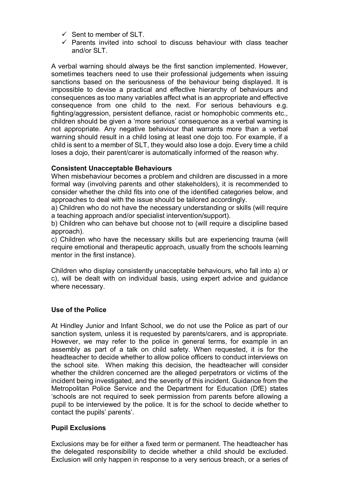- $\checkmark$  Sent to member of SLT.
- $\checkmark$  Parents invited into school to discuss behaviour with class teacher and/or SLT.

A verbal warning should always be the first sanction implemented. However, sometimes teachers need to use their professional judgements when issuing sanctions based on the seriousness of the behaviour being displayed. It is impossible to devise a practical and effective hierarchy of behaviours and consequences as too many variables affect what is an appropriate and effective consequence from one child to the next. For serious behaviours e.g. fighting/aggression, persistent defiance, racist or homophobic comments etc., children should be given a 'more serious' consequence as a verbal warning is not appropriate. Any negative behaviour that warrants more than a verbal warning should result in a child losing at least one dojo too. For example, if a child is sent to a member of SLT, they would also lose a dojo. Every time a child loses a dojo, their parent/carer is automatically informed of the reason why.

# **Consistent Unacceptable Behaviours**

When misbehaviour becomes a problem and children are discussed in a more formal way (involving parents and other stakeholders), it is recommended to consider whether the child fits into one of the identified categories below, and approaches to deal with the issue should be tailored accordingly.

a) Children who do not have the necessary understanding or skills (will require a teaching approach and/or specialist intervention/support).

b) Children who can behave but choose not to (will require a discipline based approach).

c) Children who have the necessary skills but are experiencing trauma (will require emotional and therapeutic approach, usually from the schools learning mentor in the first instance).

Children who display consistently unacceptable behaviours, who fall into a) or c), will be dealt with on individual basis, using expert advice and guidance where necessary.

#### **Use of the Police**

At Hindley Junior and Infant School, we do not use the Police as part of our sanction system, unless it is requested by parents/carers, and is appropriate. However, we may refer to the police in general terms, for example in an assembly as part of a talk on child safety. When requested, it is for the headteacher to decide whether to allow police officers to conduct interviews on the school site. When making this decision, the headteacher will consider whether the children concerned are the alleged perpetrators or victims of the incident being investigated, and the severity of this incident. Guidance from the Metropolitan Police Service and the Department for Education (DfE) states 'schools are not required to seek permission from parents before allowing a pupil to be interviewed by the police. It is for the school to decide whether to contact the pupils' parents'.

#### **Pupil Exclusions**

Exclusions may be for either a fixed term or permanent. The headteacher has the delegated responsibility to decide whether a child should be excluded. Exclusion will only happen in response to a very serious breach, or a series of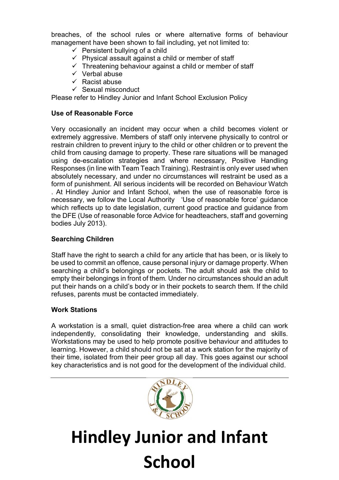breaches, of the school rules or where alternative forms of behaviour management have been shown to fail including, yet not limited to:

- $\checkmark$  Persistent bullying of a child
- $\checkmark$  Physical assault against a child or member of staff
- $\checkmark$  Threatening behaviour against a child or member of staff
- $\checkmark$  Verbal abuse
- $\checkmark$  Racist abuse
- $\checkmark$  Sexual misconduct

Please refer to Hindley Junior and Infant School Exclusion Policy

### **Use of Reasonable Force**

Very occasionally an incident may occur when a child becomes violent or extremely aggressive. Members of staff only intervene physically to control or restrain children to prevent injury to the child or other children or to prevent the child from causing damage to property. These rare situations will be managed using de-escalation strategies and where necessary, Positive Handling Responses (in line with Team Teach Training). Restraint is only ever used when absolutely necessary, and under no circumstances will restraint be used as a form of punishment. All serious incidents will be recorded on Behaviour Watch . At Hindley Junior and Infant School, when the use of reasonable force is necessary, we follow the Local Authority 'Use of reasonable force' guidance which reflects up to date legislation, current good practice and guidance from the DFE (Use of reasonable force Advice for headteachers, staff and governing bodies July 2013).

# **Searching Children**

Staff have the right to search a child for any article that has been, or is likely to be used to commit an offence, cause personal injury or damage property. When searching a child's belongings or pockets. The adult should ask the child to empty their belongings in front of them. Under no circumstances should an adult put their hands on a child's body or in their pockets to search them. If the child refuses, parents must be contacted immediately.

#### **Work Stations**

A workstation is a small, quiet distraction-free area where a child can work independently, consolidating their knowledge, understanding and skills. Workstations may be used to help promote positive behaviour and attitudes to learning. However, a child should not be sat at a work station for the majority of their time, isolated from their peer group all day. This goes against our school key characteristics and is not good for the development of the individual child.



# **Hindley Junior and Infant School**